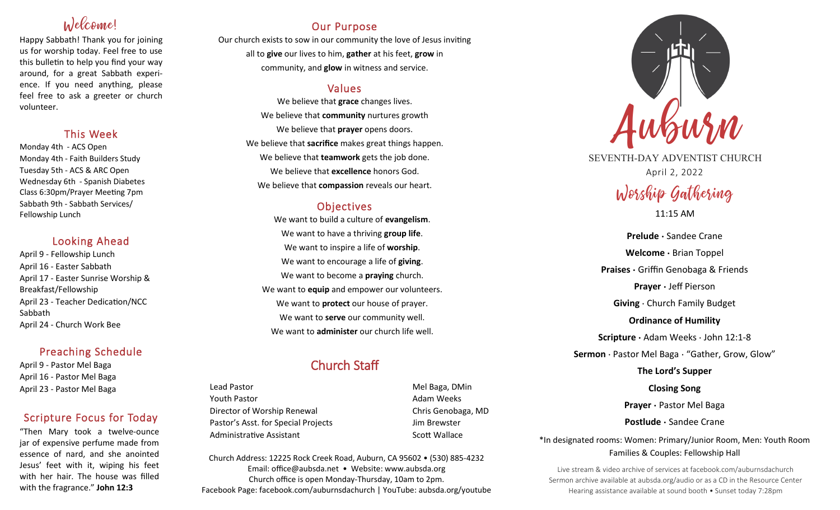# Welcome!

Happy Sabbath! Thank you for joining us for worship today. Feel free to use this bulletin to help you find your way around, for a great Sabbath experience. If you need anything, please feel free to ask a greeter or church volunteer.

### This Week

Monday 4th - ACS Open Monday 4th - Faith Builders Study Tuesday 5th - ACS & ARC Open Wednesday 6th - Spanish Diabetes Class 6:30pm/Prayer Meeting 7pm Sabbath 9th - Sabbath Services/ Fellowship Lunch

### Looking Ahead

April 9 - Fellowship Lunch April 16 - Easter Sabbath April 17 - Easter Sunrise Worship & Breakfast/Fellowship April 23 - Teacher Dedication/NCC Sabbath April 24 - Church Work Bee

# Preaching Schedule

April 9 - Pastor Mel Baga April 16 - Pastor Mel Baga April 23 - Pastor Mel Baga

# Scripture Focus for Today

"Then Mary took a twelve-ounce jar of expensive perfume made from essence of nard, and she anointed Jesus' feet with it, wiping his feet with her hair. The house was filled with the fragrance." **John 12:3**

# Our Purpose

Our church exists to sow in our community the love of Jesus inviting all to **give** our lives to him, **gather** at his feet, **grow** in community, and **glow** in witness and service.

## Values

We believe that **grace** changes lives. We believe that **community** nurtures growth We believe that **prayer** opens doors. We believe that **sacrifice** makes great things happen. We believe that **teamwork** gets the job done. We believe that **excellence** honors God. We believe that **compassion** reveals our heart.

# **Objectives**

We want to build a culture of **evangelism**. We want to have a thriving **group life**. We want to inspire a life of **worship**. We want to encourage a life of **giving**. We want to become a **praying** church. We want to **equip** and empower our volunteers. We want to **protect** our house of prayer. We want to **serve** our community well. We want to **administer** our church life well.

# Church Staff

Lead Pastor **Mel Baga, DMin** Youth Pastor **Adam Weeks Adam Weeks** Director of Worship Renewal Chris Genobaga, MD Pastor's Asst. for Special Projects Fig. 3.1 Jim Brewster Administrative Assistant National Controllery Scott Wallace

Church Address: 12225 Rock Creek Road, Auburn, CA 95602 • (530) 885-4232 Email: office@aubsda.net • Website: www.aubsda.org Church office is open Monday-Thursday, 10am to 2pm. Facebook Page: facebook.com/auburnsdachurch | YouTube: aubsda.org/youtube



SEVENTH-DAY ADVENTIST CHURCH April 2, 2022

# Worship Gathering 11:15 AM

**Prelude ·** Sandee Crane **Welcome ·** Brian Toppel **Praises ·** Griffin Genobaga & Friends **Prayer ·** Jeff Pierson **Giving** · Church Family Budget **Ordinance of Humility Scripture ·** Adam Weeks · John 12:1-8 **Sermon** · Pastor Mel Baga · "Gather, Grow, Glow" **The Lord's Supper Closing Song Prayer ·** Pastor Mel Baga **Postlude ·** Sandee Crane

\*In designated rooms: Women: Primary/Junior Room, Men: Youth Room Families & Couples: Fellowship Hall

Live stream & video archive of services at facebook.com/auburnsdachurch Sermon archive available at aubsda.org/audio or as a CD in the Resource Center Hearing assistance available at sound booth • Sunset today 7:28pm